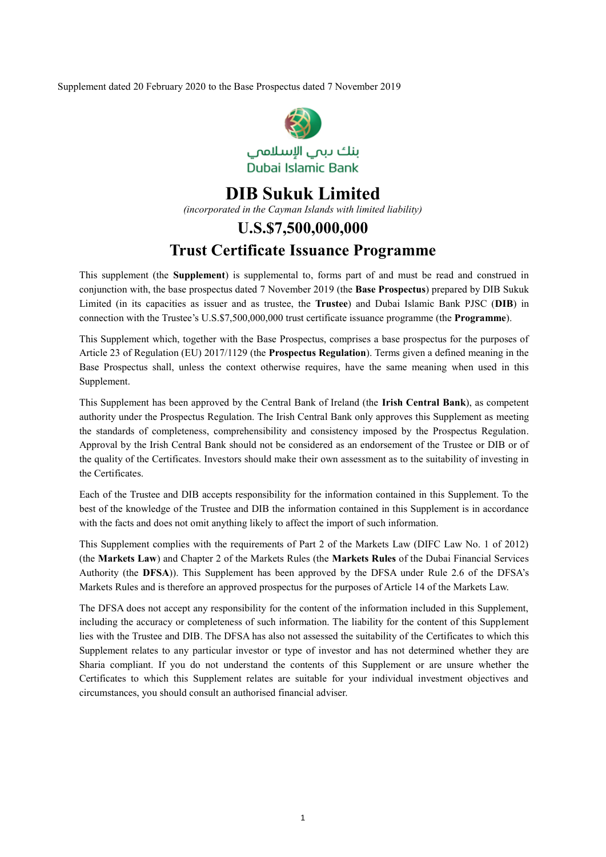Supplement dated 20 February 2020 to the Base Prospectus dated 7 November 2019



## **DIB Sukuk Limited** *(incorporated in the Cayman Islands with limited liability)* **U.S.\$7,500,000,000 Trust Certificate Issuance Programme**

This supplement (the **Supplement**) is supplemental to, forms part of and must be read and construed in conjunction with, the base prospectus dated 7 November 2019 (the **Base Prospectus**) prepared by DIB Sukuk Limited (in its capacities as issuer and as trustee, the **Trustee**) and Dubai Islamic Bank PJSC (**DIB**) in connection with the Trustee's U.S.\$7,500,000,000 trust certificate issuance programme (the **Programme**).

This Supplement which, together with the Base Prospectus, comprises a base prospectus for the purposes of Article 23 of Regulation (EU) 2017/1129 (the **Prospectus Regulation**). Terms given a defined meaning in the Base Prospectus shall, unless the context otherwise requires, have the same meaning when used in this Supplement.

This Supplement has been approved by the Central Bank of Ireland (the **Irish Central Bank**), as competent authority under the Prospectus Regulation. The Irish Central Bank only approves this Supplement as meeting the standards of completeness, comprehensibility and consistency imposed by the Prospectus Regulation. Approval by the Irish Central Bank should not be considered as an endorsement of the Trustee or DIB or of the quality of the Certificates. Investors should make their own assessment as to the suitability of investing in the Certificates.

Each of the Trustee and DIB accepts responsibility for the information contained in this Supplement. To the best of the knowledge of the Trustee and DIB the information contained in this Supplement is in accordance with the facts and does not omit anything likely to affect the import of such information.

This Supplement complies with the requirements of Part 2 of the Markets Law (DIFC Law No. 1 of 2012) (the **Markets Law**) and Chapter 2 of the Markets Rules (the **Markets Rules** of the Dubai Financial Services Authority (the **DFSA**)). This Supplement has been approved by the DFSA under Rule 2.6 of the DFSA's Markets Rules and is therefore an approved prospectus for the purposes of Article 14 of the Markets Law.

The DFSA does not accept any responsibility for the content of the information included in this Supplement, including the accuracy or completeness of such information. The liability for the content of this Supplement lies with the Trustee and DIB. The DFSA has also not assessed the suitability of the Certificates to which this Supplement relates to any particular investor or type of investor and has not determined whether they are Sharia compliant. If you do not understand the contents of this Supplement or are unsure whether the Certificates to which this Supplement relates are suitable for your individual investment objectives and circumstances, you should consult an authorised financial adviser.